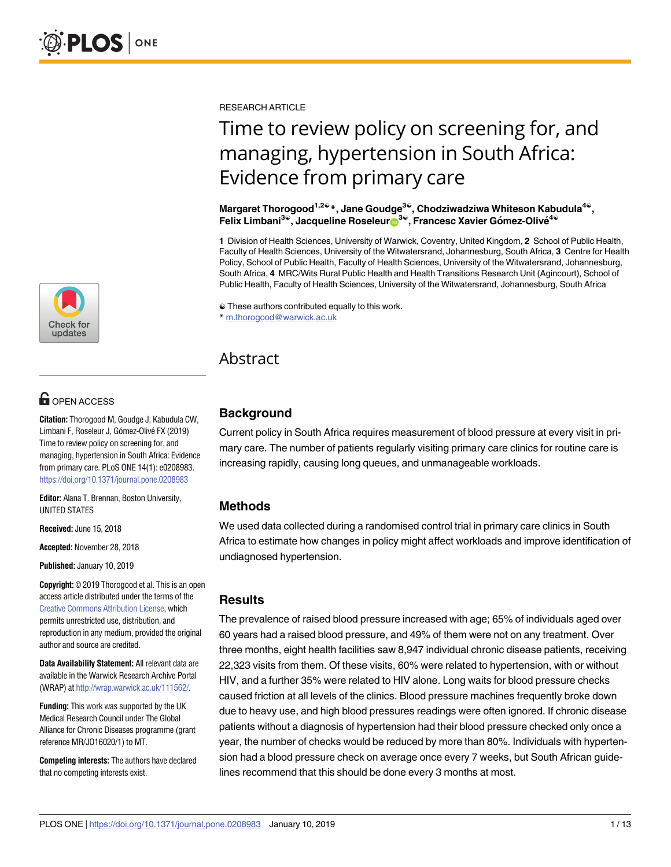

# **OPEN ACCESS**

**Citation:** Thorogood M, Goudge J, Kabudula CW, Limbani F, Roseleur J, Gómez-Olivé FX (2019) Time to review policy on screening for, and managing, hypertension in South Africa: Evidence from primary care. PLoS ONE 14(1): e0208983. <https://doi.org/10.1371/journal.pone.0208983>

**Editor:** Alana T. Brennan, Boston University, UNITED STATES

**Received:** June 15, 2018

**Accepted:** November 28, 2018

**Published:** January 10, 2019

**Copyright:** © 2019 Thorogood et al. This is an open access article distributed under the terms of the Creative Commons [Attribution](http://creativecommons.org/licenses/by/4.0/) License, which permits unrestricted use, distribution, and reproduction in any medium, provided the original author and source are credited.

**Data Availability Statement:** All relevant data are available in the Warwick Research Archive Portal (WRAP) at <http://wrap.warwick.ac.uk/111562/>.

**Funding:** This work was supported by the UK Medical Research Council under The Global Alliance for Chronic Diseases programme (grant reference MR/JO16020/1) to MT.

**Competing interests:** The authors have declared that no competing interests exist.

RESEARCH ARTICLE

# Time to review policy on screening for, and managing, hypertension in South Africa: Evidence from primary care

**Margaret Thorogood1,2**☯**\*, Jane Goudge3**☯**, Chodziwadziwa Whiteson Kabudula4**☯**,**  $F$ elix Limbani<sup>3®</sup>, Jacqueline Roseleur<sup>®3®</sup>, Francesc Xavier Gómez-Olivé<sup>4®</sup>

**1** Division of Health Sciences, University of Warwick, Coventry, United Kingdom, **2** School of Public Health, Faculty of Health Sciences, University of the Witwatersrand, Johannesburg, South Africa, **3** Centre for Health Policy, School of Public Health, Faculty of Health Sciences, University of the Witwatersrand, Johannesburg, South Africa, **4** MRC/Wits Rural Public Health and Health Transitions Research Unit (Agincourt), School of Public Health, Faculty of Health Sciences, University of the Witwatersrand, Johannesburg, South Africa

☯ These authors contributed equally to this work.

\* m.thorogood@warwick.ac.uk

# Abstract

## **Background**

Current policy in South Africa requires measurement of blood pressure at every visit in primary care. The number of patients regularly visiting primary care clinics for routine care is increasing rapidly, causing long queues, and unmanageable workloads.

#### **Methods**

We used data collected during a randomised control trial in primary care clinics in South Africa to estimate how changes in policy might affect workloads and improve identification of undiagnosed hypertension.

## **Results**

The prevalence of raised blood pressure increased with age; 65% of individuals aged over 60 years had a raised blood pressure, and 49% of them were not on any treatment. Over three months, eight health facilities saw 8,947 individual chronic disease patients, receiving 22,323 visits from them. Of these visits, 60% were related to hypertension, with or without HIV, and a further 35% were related to HIV alone. Long waits for blood pressure checks caused friction at all levels of the clinics. Blood pressure machines frequently broke down due to heavy use, and high blood pressures readings were often ignored. If chronic disease patients without a diagnosis of hypertension had their blood pressure checked only once a year, the number of checks would be reduced by more than 80%. Individuals with hypertension had a blood pressure check on average once every 7 weeks, but South African guidelines recommend that this should be done every 3 months at most.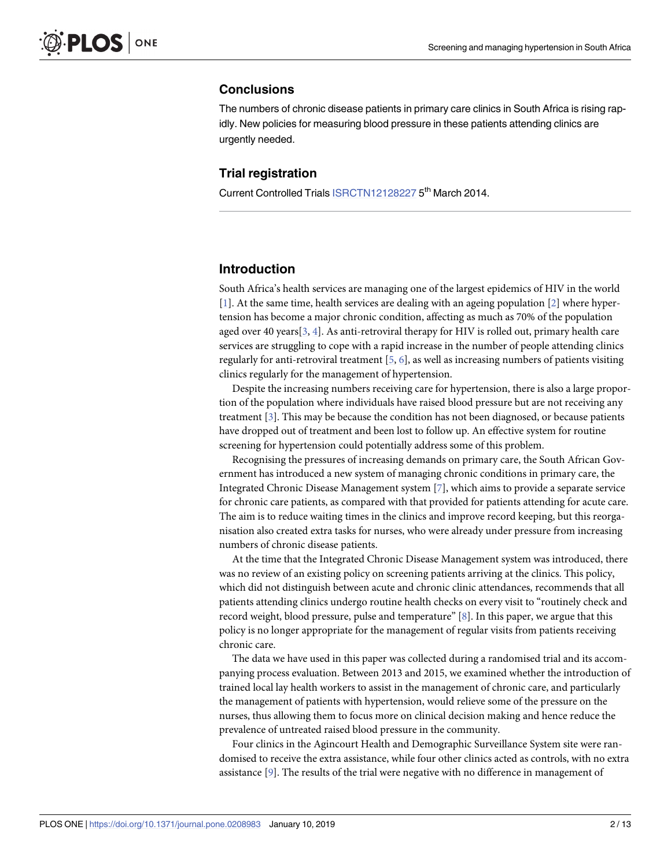#### <span id="page-1-0"></span>**Conclusions**

The numbers of chronic disease patients in primary care clinics in South Africa is rising rapidly. New policies for measuring blood pressure in these patients attending clinics are urgently needed.

#### **Trial registration**

Current Controlled Trials [ISRCTN12128227](https://clinicaltrials.gov/ct2/show/ISRCTN12128227) 5<sup>th</sup> March 2014.

#### **Introduction**

South Africa's health services are managing one of the largest epidemics of HIV in the world [\[1](#page-11-0)]. At the same time, health services are dealing with an ageing population [\[2\]](#page-12-0) where hypertension has become a major chronic condition, affecting as much as 70% of the population aged over 40 years[\[3,](#page-12-0) [4\]](#page-12-0). As anti-retroviral therapy for HIV is rolled out, primary health care services are struggling to cope with a rapid increase in the number of people attending clinics regularly for anti-retroviral treatment  $[5, 6]$  $[5, 6]$  $[5, 6]$  $[5, 6]$ , as well as increasing numbers of patients visiting clinics regularly for the management of hypertension.

Despite the increasing numbers receiving care for hypertension, there is also a large proportion of the population where individuals have raised blood pressure but are not receiving any treatment [[3\]](#page-12-0). This may be because the condition has not been diagnosed, or because patients have dropped out of treatment and been lost to follow up. An effective system for routine screening for hypertension could potentially address some of this problem.

Recognising the pressures of increasing demands on primary care, the South African Government has introduced a new system of managing chronic conditions in primary care, the Integrated Chronic Disease Management system [[7\]](#page-12-0), which aims to provide a separate service for chronic care patients, as compared with that provided for patients attending for acute care. The aim is to reduce waiting times in the clinics and improve record keeping, but this reorganisation also created extra tasks for nurses, who were already under pressure from increasing numbers of chronic disease patients.

At the time that the Integrated Chronic Disease Management system was introduced, there was no review of an existing policy on screening patients arriving at the clinics. This policy, which did not distinguish between acute and chronic clinic attendances, recommends that all patients attending clinics undergo routine health checks on every visit to "routinely check and record weight, blood pressure, pulse and temperature" [[8](#page-12-0)]. In this paper, we argue that this policy is no longer appropriate for the management of regular visits from patients receiving chronic care.

The data we have used in this paper was collected during a randomised trial and its accompanying process evaluation. Between 2013 and 2015, we examined whether the introduction of trained local lay health workers to assist in the management of chronic care, and particularly the management of patients with hypertension, would relieve some of the pressure on the nurses, thus allowing them to focus more on clinical decision making and hence reduce the prevalence of untreated raised blood pressure in the community.

Four clinics in the Agincourt Health and Demographic Surveillance System site were randomised to receive the extra assistance, while four other clinics acted as controls, with no extra assistance [[9](#page-12-0)]. The results of the trial were negative with no difference in management of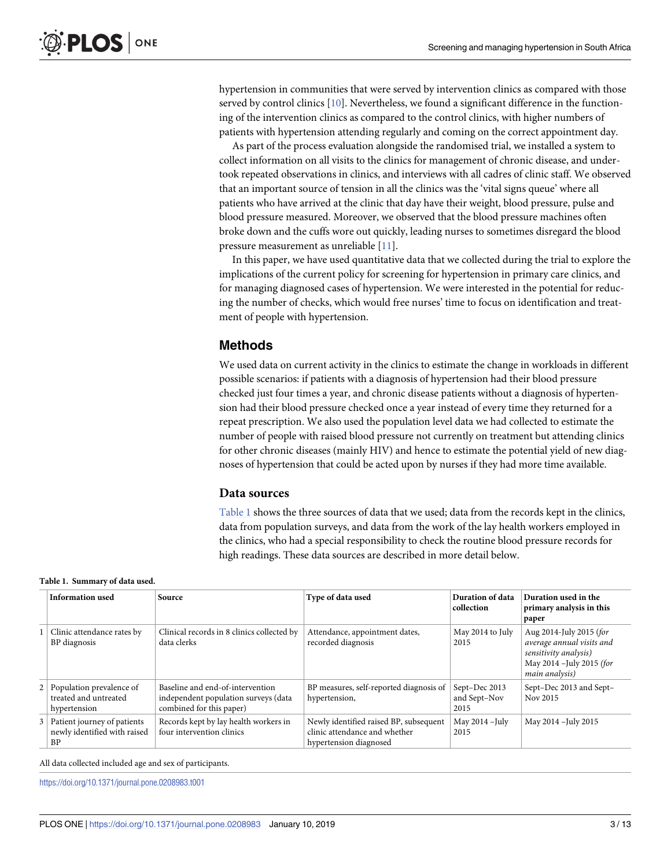<span id="page-2-0"></span>hypertension in communities that were served by intervention clinics as compared with those served by control clinics [[10](#page-12-0)]. Nevertheless, we found a significant difference in the functioning of the intervention clinics as compared to the control clinics, with higher numbers of patients with hypertension attending regularly and coming on the correct appointment day.

As part of the process evaluation alongside the randomised trial, we installed a system to collect information on all visits to the clinics for management of chronic disease, and undertook repeated observations in clinics, and interviews with all cadres of clinic staff. We observed that an important source of tension in all the clinics was the 'vital signs queue' where all patients who have arrived at the clinic that day have their weight, blood pressure, pulse and blood pressure measured. Moreover, we observed that the blood pressure machines often broke down and the cuffs wore out quickly, leading nurses to sometimes disregard the blood pressure measurement as unreliable [\[11\]](#page-12-0).

In this paper, we have used quantitative data that we collected during the trial to explore the implications of the current policy for screening for hypertension in primary care clinics, and for managing diagnosed cases of hypertension. We were interested in the potential for reducing the number of checks, which would free nurses' time to focus on identification and treatment of people with hypertension.

#### **Methods**

We used data on current activity in the clinics to estimate the change in workloads in different possible scenarios: if patients with a diagnosis of hypertension had their blood pressure checked just four times a year, and chronic disease patients without a diagnosis of hypertension had their blood pressure checked once a year instead of every time they returned for a repeat prescription. We also used the population level data we had collected to estimate the number of people with raised blood pressure not currently on treatment but attending clinics for other chronic diseases (mainly HIV) and hence to estimate the potential yield of new diagnoses of hypertension that could be acted upon by nurses if they had more time available.

#### **Data sources**

Table 1 shows the three sources of data that we used; data from the records kept in the clinics, data from population surveys, and data from the work of the lay health workers employed in the clinics, who had a special responsibility to check the routine blood pressure records for high readings. These data sources are described in more detail below.

#### **Table 1. Summary of data used.**

|                | Information used                                                         | Source                                                                                               | Type of data used                                                                                 | Duration of data<br>collection        | Duration used in the<br>primary analysis in this<br>paper                                                                    |
|----------------|--------------------------------------------------------------------------|------------------------------------------------------------------------------------------------------|---------------------------------------------------------------------------------------------------|---------------------------------------|------------------------------------------------------------------------------------------------------------------------------|
|                | Clinic attendance rates by<br>BP diagnosis                               | Clinical records in 8 clinics collected by<br>data clerks                                            | Attendance, appointment dates,<br>recorded diagnosis                                              | May 2014 to July<br>2015              | Aug 2014-July 2015 (for<br>average annual visits and<br>sensitivity analysis)<br>May 2014 - July 2015 (for<br>main analysis) |
| 2 <sup>1</sup> | Population prevalence of<br>treated and untreated<br>hypertension        | Baseline and end-of-intervention<br>independent population surveys (data<br>combined for this paper) | BP measures, self-reported diagnosis of<br>hypertension,                                          | Sept-Dec 2013<br>and Sept-Nov<br>2015 | Sept-Dec 2013 and Sept-<br>Nov 2015                                                                                          |
| 3              | Patient journey of patients<br>newly identified with raised<br><b>BP</b> | Records kept by lay health workers in<br>four intervention clinics                                   | Newly identified raised BP, subsequent<br>clinic attendance and whether<br>hypertension diagnosed | May $2014$ -July<br>2015              | May 2014 - July 2015                                                                                                         |

All data collected included age and sex of participants.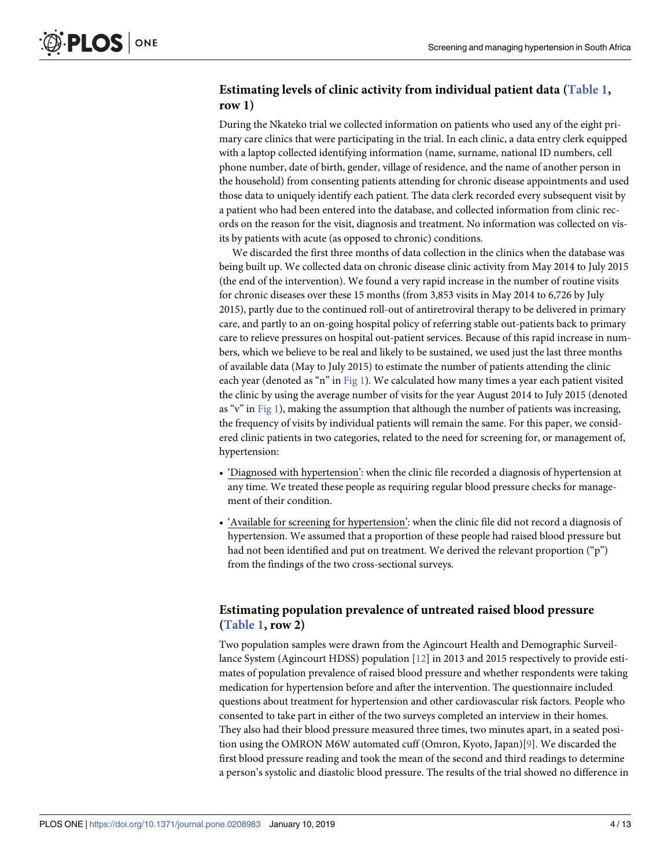#### <span id="page-3-0"></span>**Estimating levels of clinic activity from individual patient data [\(Table](#page-2-0) 1, row 1)**

During the Nkateko trial we collected information on patients who used any of the eight primary care clinics that were participating in the trial. In each clinic, a data entry clerk equipped with a laptop collected identifying information (name, surname, national ID numbers, cell phone number, date of birth, gender, village of residence, and the name of another person in the household) from consenting patients attending for chronic disease appointments and used those data to uniquely identify each patient. The data clerk recorded every subsequent visit by a patient who had been entered into the database, and collected information from clinic records on the reason for the visit, diagnosis and treatment. No information was collected on visits by patients with acute (as opposed to chronic) conditions.

We discarded the first three months of data collection in the clinics when the database was being built up. We collected data on chronic disease clinic activity from May 2014 to July 2015 (the end of the intervention). We found a very rapid increase in the number of routine visits for chronic diseases over these 15 months (from 3,853 visits in May 2014 to 6,726 by July 2015), partly due to the continued roll-out of antiretroviral therapy to be delivered in primary care, and partly to an on-going hospital policy of referring stable out-patients back to primary care to relieve pressures on hospital out-patient services. Because of this rapid increase in numbers, which we believe to be real and likely to be sustained, we used just the last three months of available data (May to July 2015) to estimate the number of patients attending the clinic each year (denoted as "n" in [Fig](#page-4-0) 1). We calculated how many times a year each patient visited the clinic by using the average number of visits for the year August 2014 to July 2015 (denoted as "v" in  $Fig 1$  $Fig 1$ ), making the assumption that although the number of patients was increasing, the frequency of visits by individual patients will remain the same. For this paper, we considered clinic patients in two categories, related to the need for screening for, or management of, hypertension:

- 'Diagnosed with hypertension': when the clinic file recorded a diagnosis of hypertension at any time. We treated these people as requiring regular blood pressure checks for management of their condition.
- 'Available for screening for hypertension': when the clinic file did not record a diagnosis of hypertension. We assumed that a proportion of these people had raised blood pressure but had not been identified and put on treatment. We derived the relevant proportion ("p") from the findings of the two cross-sectional surveys.

#### **Estimating population prevalence of untreated raised blood pressure [\(Table](#page-2-0) 1, row 2)**

Two population samples were drawn from the Agincourt Health and Demographic Surveillance System (Agincourt HDSS) population [\[12\]](#page-12-0) in 2013 and 2015 respectively to provide estimates of population prevalence of raised blood pressure and whether respondents were taking medication for hypertension before and after the intervention. The questionnaire included questions about treatment for hypertension and other cardiovascular risk factors. People who consented to take part in either of the two surveys completed an interview in their homes. They also had their blood pressure measured three times, two minutes apart, in a seated position using the OMRON M6W automated cuff (Omron, Kyoto, Japan)[[9](#page-12-0)]. We discarded the first blood pressure reading and took the mean of the second and third readings to determine a person's systolic and diastolic blood pressure. The results of the trial showed no difference in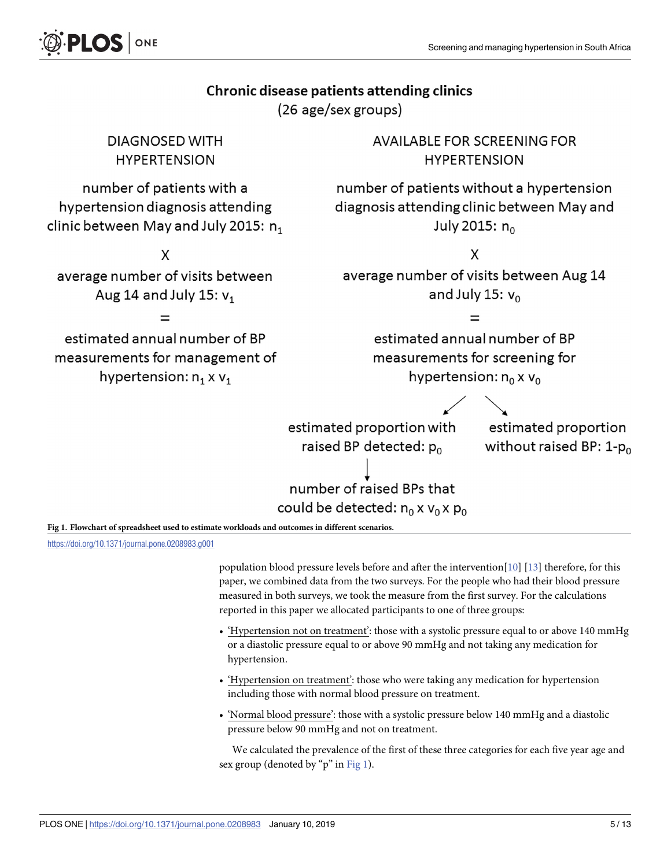#### Screening and managing hypertension in South Africa

## **Chronic disease patients attending clinics**

(26 age/sex groups)

#### **DIAGNOSED WITH AVAILABLE FOR SCREENING FOR HYPERTENSION HYPERTENSION** number of patients with a number of patients without a hypertension hypertension diagnosis attending diagnosis attending clinic between May and clinic between May and July 2015: n<sub>1</sub> July 2015:  $n_0$ X X average number of visits between Aug 14 average number of visits between and July 15:  $v_0$ Aug 14 and July 15:  $v_1$ estimated annual number of BP estimated annual number of BP measurements for screening for hypertension:  $n_1 \times v_1$ hypertension:  $n_0$  x  $v_0$ estimated proportion with estimated proportion raised BP detected:  $p_0$ without raised BP:  $1-p_0$ number of raised BPs that could be detected:  $n_0$  x  $v_0$  x  $p_0$

**[Fig](#page-3-0) 1. Flowchart of spreadsheet used to estimate workloads and outcomes in different scenarios.**

<https://doi.org/10.1371/journal.pone.0208983.g001>

population blood pressure levels before and after the intervention $[10]$   $[13]$  $[13]$  $[13]$  therefore, for this paper, we combined data from the two surveys. For the people who had their blood pressure measured in both surveys, we took the measure from the first survey. For the calculations reported in this paper we allocated participants to one of three groups:

- 'Hypertension not on treatment': those with a systolic pressure equal to or above 140 mmHg or a diastolic pressure equal to or above 90 mmHg and not taking any medication for hypertension.
- 'Hypertension on treatment': those who were taking any medication for hypertension including those with normal blood pressure on treatment.
- 'Normal blood pressure': those with a systolic pressure below 140 mmHg and a diastolic pressure below 90 mmHg and not on treatment.

We calculated the prevalence of the first of these three categories for each five year age and sex group (denoted by "p" in  $Fig 1$ ).

<span id="page-4-0"></span>

measurements for management of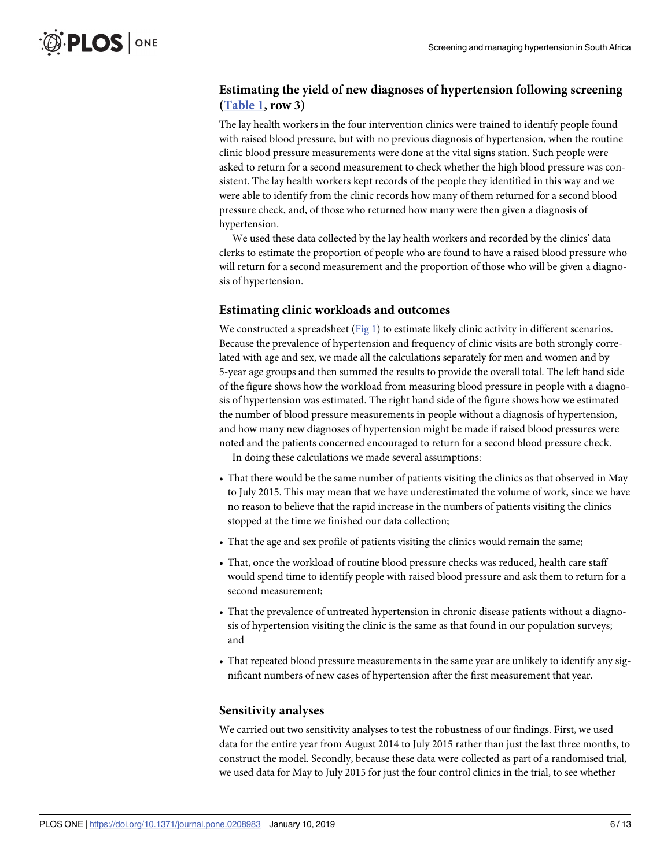### **Estimating the yield of new diagnoses of hypertension following screening [\(Table](#page-2-0) 1, row 3)**

The lay health workers in the four intervention clinics were trained to identify people found with raised blood pressure, but with no previous diagnosis of hypertension, when the routine clinic blood pressure measurements were done at the vital signs station. Such people were asked to return for a second measurement to check whether the high blood pressure was consistent. The lay health workers kept records of the people they identified in this way and we were able to identify from the clinic records how many of them returned for a second blood pressure check, and, of those who returned how many were then given a diagnosis of hypertension.

We used these data collected by the lay health workers and recorded by the clinics' data clerks to estimate the proportion of people who are found to have a raised blood pressure who will return for a second measurement and the proportion of those who will be given a diagnosis of hypertension.

#### **Estimating clinic workloads and outcomes**

We constructed a spreadsheet [\(Fig](#page-4-0) 1) to estimate likely clinic activity in different scenarios. Because the prevalence of hypertension and frequency of clinic visits are both strongly correlated with age and sex, we made all the calculations separately for men and women and by 5-year age groups and then summed the results to provide the overall total. The left hand side of the figure shows how the workload from measuring blood pressure in people with a diagnosis of hypertension was estimated. The right hand side of the figure shows how we estimated the number of blood pressure measurements in people without a diagnosis of hypertension, and how many new diagnoses of hypertension might be made if raised blood pressures were noted and the patients concerned encouraged to return for a second blood pressure check.

In doing these calculations we made several assumptions:

- That there would be the same number of patients visiting the clinics as that observed in May to July 2015. This may mean that we have underestimated the volume of work, since we have no reason to believe that the rapid increase in the numbers of patients visiting the clinics stopped at the time we finished our data collection;
- That the age and sex profile of patients visiting the clinics would remain the same;
- That, once the workload of routine blood pressure checks was reduced, health care staff would spend time to identify people with raised blood pressure and ask them to return for a second measurement;
- That the prevalence of untreated hypertension in chronic disease patients without a diagnosis of hypertension visiting the clinic is the same as that found in our population surveys; and
- That repeated blood pressure measurements in the same year are unlikely to identify any significant numbers of new cases of hypertension after the first measurement that year.

#### **Sensitivity analyses**

We carried out two sensitivity analyses to test the robustness of our findings. First, we used data for the entire year from August 2014 to July 2015 rather than just the last three months, to construct the model. Secondly, because these data were collected as part of a randomised trial, we used data for May to July 2015 for just the four control clinics in the trial, to see whether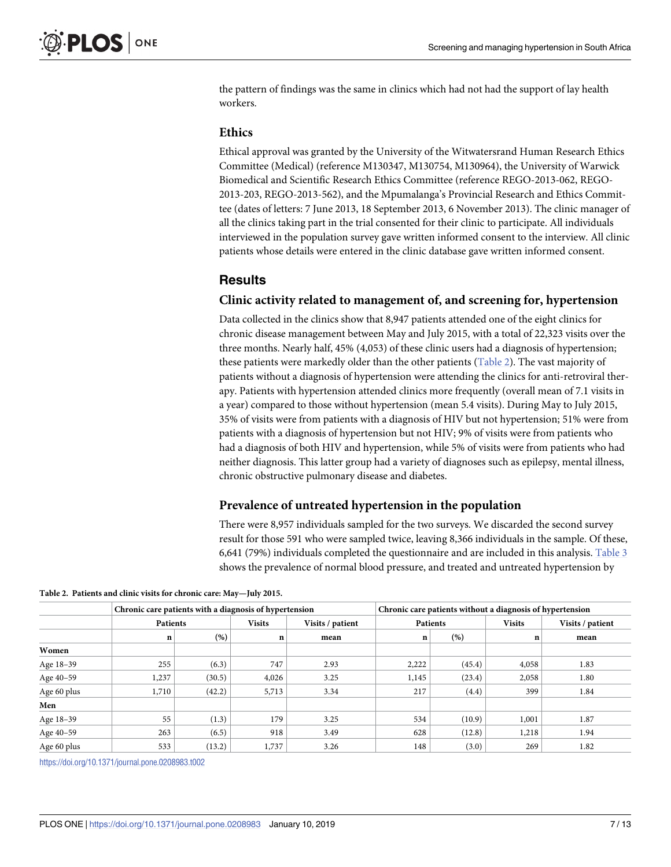<span id="page-6-0"></span>the pattern of findings was the same in clinics which had not had the support of lay health workers.

#### **Ethics**

Ethical approval was granted by the University of the Witwatersrand Human Research Ethics Committee (Medical) (reference M130347, M130754, M130964), the University of Warwick Biomedical and Scientific Research Ethics Committee (reference REGO-2013-062, REGO-2013-203, REGO-2013-562), and the Mpumalanga's Provincial Research and Ethics Committee (dates of letters: 7 June 2013, 18 September 2013, 6 November 2013). The clinic manager of all the clinics taking part in the trial consented for their clinic to participate. All individuals interviewed in the population survey gave written informed consent to the interview. All clinic patients whose details were entered in the clinic database gave written informed consent.

#### **Results**

#### **Clinic activity related to management of, and screening for, hypertension**

Data collected in the clinics show that 8,947 patients attended one of the eight clinics for chronic disease management between May and July 2015, with a total of 22,323 visits over the three months. Nearly half, 45% (4,053) of these clinic users had a diagnosis of hypertension; these patients were markedly older than the other patients (Table 2). The vast majority of patients without a diagnosis of hypertension were attending the clinics for anti-retroviral therapy. Patients with hypertension attended clinics more frequently (overall mean of 7.1 visits in a year) compared to those without hypertension (mean 5.4 visits). During May to July 2015, 35% of visits were from patients with a diagnosis of HIV but not hypertension; 51% were from patients with a diagnosis of hypertension but not HIV; 9% of visits were from patients who had a diagnosis of both HIV and hypertension, while 5% of visits were from patients who had neither diagnosis. This latter group had a variety of diagnoses such as epilepsy, mental illness, chronic obstructive pulmonary disease and diabetes.

#### **Prevalence of untreated hypertension in the population**

There were 8,957 individuals sampled for the two surveys. We discarded the second survey result for those 591 who were sampled twice, leaving 8,366 individuals in the sample. Of these, 6,641 (79%) individuals completed the questionnaire and are included in this analysis. [Table](#page-7-0) 3 shows the prevalence of normal blood pressure, and treated and untreated hypertension by

**Table 2. Patients and clinic visits for chronic care: May—July 2015.**

|             |                 | Chronic care patients with a diagnosis of hypertension |               |                  |                 |        | Chronic care patients without a diagnosis of hypertension |                  |  |  |
|-------------|-----------------|--------------------------------------------------------|---------------|------------------|-----------------|--------|-----------------------------------------------------------|------------------|--|--|
|             | <b>Patients</b> |                                                        | <b>Visits</b> | Visits / patient | <b>Patients</b> |        | <b>Visits</b>                                             | Visits / patient |  |  |
|             | n               | (%)                                                    | n             | mean             | n               | (%)    | $\mathbf n$                                               | mean             |  |  |
| Women       |                 |                                                        |               |                  |                 |        |                                                           |                  |  |  |
| Age 18-39   | 255             | (6.3)                                                  | 747           | 2.93             | 2,222           | (45.4) | 4,058                                                     | 1.83             |  |  |
| Age 40-59   | 1,237           | (30.5)                                                 | 4,026         | 3.25             | 1,145           | (23.4) | 2,058                                                     | 1.80             |  |  |
| Age 60 plus | 1,710           | (42.2)                                                 | 5,713         | 3.34             | 217             | (4.4)  | 399                                                       | 1.84             |  |  |
| Men         |                 |                                                        |               |                  |                 |        |                                                           |                  |  |  |
| Age 18-39   | 55              | (1.3)                                                  | 179           | 3.25             | 534             | (10.9) | 1,001                                                     | 1.87             |  |  |
| Age 40-59   | 263             | (6.5)                                                  | 918           | 3.49             | 628             | (12.8) | 1,218                                                     | 1.94             |  |  |
| Age 60 plus | 533             | (13.2)                                                 | 1,737         | 3.26             | 148             | (3.0)  | 269                                                       | 1.82             |  |  |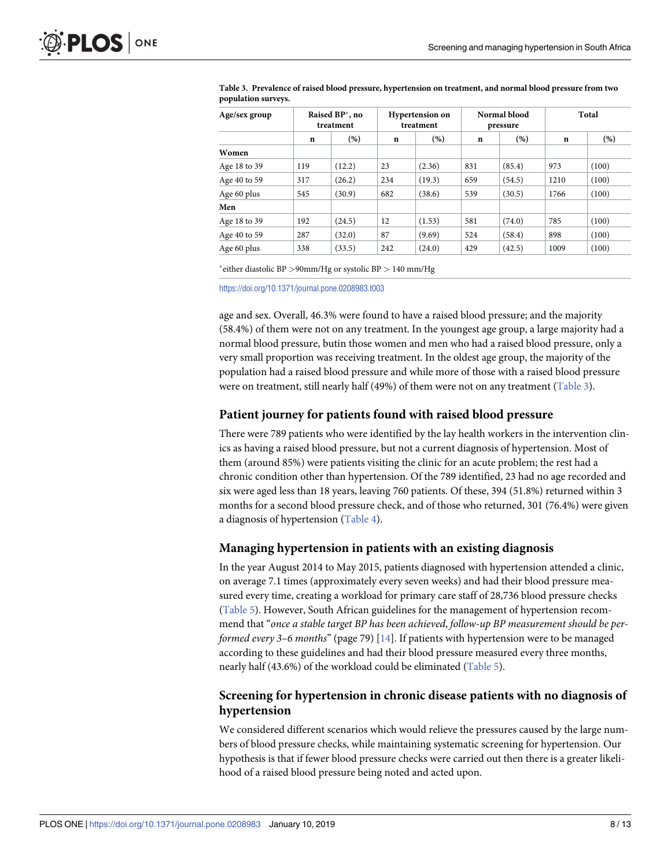| Age/sex group |             | Raised BP <sup>*</sup> , no<br>treatment |             | <b>Hypertension</b> on<br>treatment |             | Normal blood<br>pressure |             | Total |  |
|---------------|-------------|------------------------------------------|-------------|-------------------------------------|-------------|--------------------------|-------------|-------|--|
|               | $\mathbf n$ | (%)                                      | $\mathbf n$ | (%)                                 | $\mathbf n$ | (%)                      | $\mathbf n$ | (% )  |  |
| Women         |             |                                          |             |                                     |             |                          |             |       |  |
| Age 18 to 39  | 119         | (12.2)                                   | 23          | (2.36)                              | 831         | (85.4)                   | 973         | (100) |  |
| Age 40 to 59  | 317         | (26.2)                                   | 234         | (19.3)                              | 659         | (54.5)                   | 1210        | (100) |  |
| Age 60 plus   | 545         | (30.9)                                   | 682         | (38.6)                              | 539         | (30.5)                   | 1766        | (100) |  |
| Men           |             |                                          |             |                                     |             |                          |             |       |  |
| Age 18 to 39  | 192         | (24.5)                                   | 12          | (1.53)                              | 581         | (74.0)                   | 785         | (100) |  |
| Age 40 to 59  | 287         | (32.0)                                   | 87          | (9.69)                              | 524         | (58.4)                   | 898         | (100) |  |
| Age 60 plus   | 338         | (33.5)                                   | 242         | (24.0)                              | 429         | (42.5)                   | 1009        | (100) |  |

<span id="page-7-0"></span>**[Table](#page-6-0) 3. Prevalence of raised blood pressure, hypertension on treatment, and normal blood pressure from two population surveys.**

�either diastolic BP *>*90mm/Hg or systolic BP *>* 140 mm/Hg

<https://doi.org/10.1371/journal.pone.0208983.t003>

age and sex. Overall, 46.3% were found to have a raised blood pressure; and the majority (58.4%) of them were not on any treatment. In the youngest age group, a large majority had a normal blood pressure, butin those women and men who had a raised blood pressure, only a very small proportion was receiving treatment. In the oldest age group, the majority of the population had a raised blood pressure and while more of those with a raised blood pressure were on treatment, still nearly half (49%) of them were not on any treatment (Table 3).

#### **Patient journey for patients found with raised blood pressure**

There were 789 patients who were identified by the lay health workers in the intervention clinics as having a raised blood pressure, but not a current diagnosis of hypertension. Most of them (around 85%) were patients visiting the clinic for an acute problem; the rest had a chronic condition other than hypertension. Of the 789 identified, 23 had no age recorded and six were aged less than 18 years, leaving 760 patients. Of these, 394 (51.8%) returned within 3 months for a second blood pressure check, and of those who returned, 301 (76.4%) were given a diagnosis of hypertension [\(Table](#page-8-0) 4).

#### **Managing hypertension in patients with an existing diagnosis**

In the year August 2014 to May 2015, patients diagnosed with hypertension attended a clinic, on average 7.1 times (approximately every seven weeks) and had their blood pressure measured every time, creating a workload for primary care staff of 28,736 blood pressure checks [\(Table](#page-8-0) 5). However, South African guidelines for the management of hypertension recommend that "*once a stable target BP has been achieved*, *follow-up BP measurement should be performed every 3–6 months*" (page 79) [[14](#page-12-0)]. If patients with hypertension were to be managed according to these guidelines and had their blood pressure measured every three months, nearly half (43.6%) of the workload could be eliminated [\(Table](#page-8-0) 5).

#### **Screening for hypertension in chronic disease patients with no diagnosis of hypertension**

We considered different scenarios which would relieve the pressures caused by the large numbers of blood pressure checks, while maintaining systematic screening for hypertension. Our hypothesis is that if fewer blood pressure checks were carried out then there is a greater likelihood of a raised blood pressure being noted and acted upon.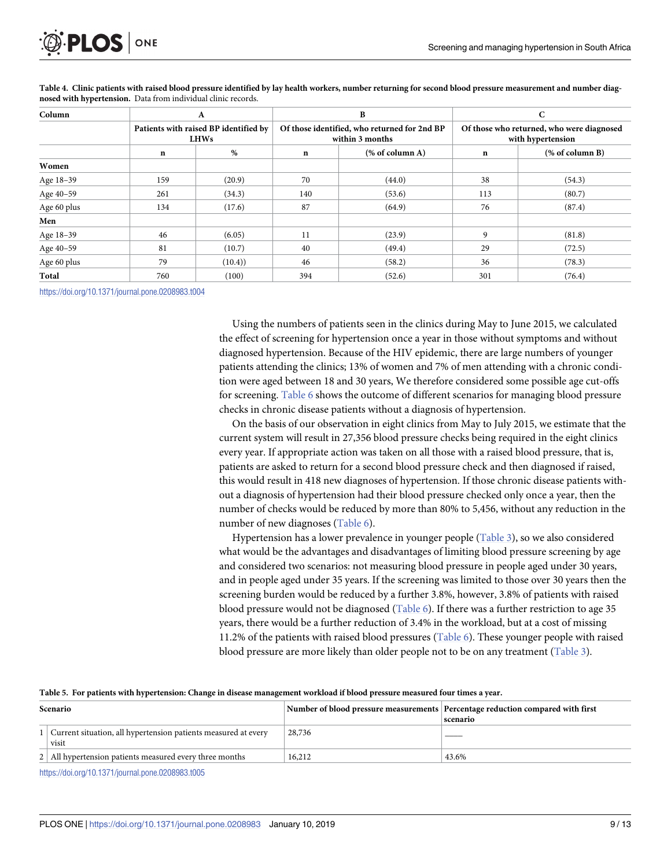<span id="page-8-0"></span>

| Column      |     | A<br>Patients with raised BP identified by<br><b>LHWs</b> |             | B                                                               | C<br>Of those who returned, who were diagnosed<br>with hypertension |                 |
|-------------|-----|-----------------------------------------------------------|-------------|-----------------------------------------------------------------|---------------------------------------------------------------------|-----------------|
|             |     |                                                           |             | Of those identified, who returned for 2nd BP<br>within 3 months |                                                                     |                 |
|             | n   | %                                                         | $\mathbf n$ | % of column A)                                                  | $\mathbf n$                                                         | (% of column B) |
| Women       |     |                                                           |             |                                                                 |                                                                     |                 |
| Age 18-39   | 159 | (20.9)                                                    | 70          | (44.0)                                                          | 38                                                                  | (54.3)          |
| Age 40-59   | 261 | (34.3)                                                    | 140         | (53.6)                                                          | 113                                                                 | (80.7)          |
| Age 60 plus | 134 | (17.6)                                                    | 87          | (64.9)                                                          | 76                                                                  | (87.4)          |
| Men         |     |                                                           |             |                                                                 |                                                                     |                 |
| Age 18-39   | 46  | (6.05)                                                    | 11          | (23.9)                                                          | 9                                                                   | (81.8)          |
| Age 40-59   | 81  | (10.7)                                                    | 40          | (49.4)                                                          | 29                                                                  | (72.5)          |
| Age 60 plus | 79  | (10.4)                                                    | 46          | (58.2)                                                          | 36                                                                  | (78.3)          |
| Total       | 760 | (100)                                                     | 394         | (52.6)                                                          | 301                                                                 | (76.4)          |

[Table](#page-7-0) 4. Clinic patients with raised blood pressure identified by lay health workers, number returning for second blood pressure measurement and number diag**nosed with hypertension.** Data from individual clinic records.

<https://doi.org/10.1371/journal.pone.0208983.t004>

Using the numbers of patients seen in the clinics during May to June 2015, we calculated the effect of screening for hypertension once a year in those without symptoms and without diagnosed hypertension. Because of the HIV epidemic, there are large numbers of younger patients attending the clinics; 13% of women and 7% of men attending with a chronic condition were aged between 18 and 30 years, We therefore considered some possible age cut-offs for screening. [Table](#page-9-0) 6 shows the outcome of different scenarios for managing blood pressure checks in chronic disease patients without a diagnosis of hypertension.

On the basis of our observation in eight clinics from May to July 2015, we estimate that the current system will result in 27,356 blood pressure checks being required in the eight clinics every year. If appropriate action was taken on all those with a raised blood pressure, that is, patients are asked to return for a second blood pressure check and then diagnosed if raised, this would result in 418 new diagnoses of hypertension. If those chronic disease patients without a diagnosis of hypertension had their blood pressure checked only once a year, then the number of checks would be reduced by more than 80% to 5,456, without any reduction in the number of new diagnoses ([Table](#page-9-0) 6).

Hypertension has a lower prevalence in younger people ([Table](#page-7-0) 3), so we also considered what would be the advantages and disadvantages of limiting blood pressure screening by age and considered two scenarios: not measuring blood pressure in people aged under 30 years, and in people aged under 35 years. If the screening was limited to those over 30 years then the screening burden would be reduced by a further 3.8%, however, 3.8% of patients with raised blood pressure would not be diagnosed [\(Table](#page-9-0) 6). If there was a further restriction to age 35 years, there would be a further reduction of 3.4% in the workload, but at a cost of missing 11.2% of the patients with raised blood pressures ([Table](#page-9-0) 6). These younger people with raised blood pressure are more likely than older people not to be on any treatment ([Table](#page-7-0) 3).

#### [Table](#page-7-0) 5. For patients with hypertension: Change in disease management workload if blood pressure measured four times a year.

| Scenario |                                                                    |        | Number of blood pressure measurements Percentage reduction compared with first |
|----------|--------------------------------------------------------------------|--------|--------------------------------------------------------------------------------|
|          |                                                                    |        | scenario                                                                       |
|          | 1   Current situation, all hypertension patients measured at every | 28,736 |                                                                                |
|          | visit                                                              |        |                                                                                |
|          | $2\mid$ All hypertension patients measured every three months      | 16,212 | 43.6%                                                                          |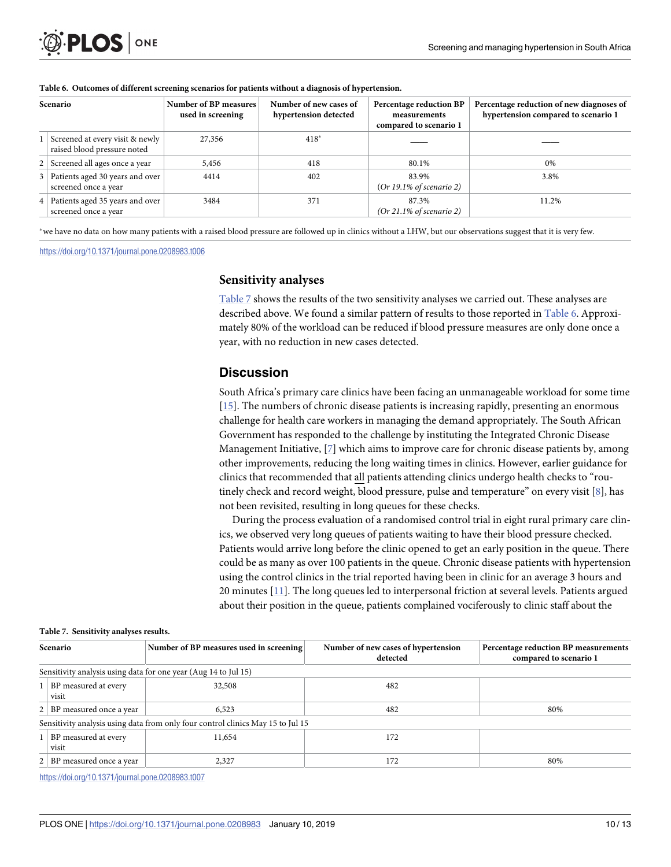<span id="page-9-0"></span>

| Scenario       |                                                                | Number of BP measures<br>used in screening | Number of new cases of<br>hypertension detected | Percentage reduction BP<br>measurements<br>compared to scenario 1 | Percentage reduction of new diagnoses of<br>hypertension compared to scenario 1 |  |
|----------------|----------------------------------------------------------------|--------------------------------------------|-------------------------------------------------|-------------------------------------------------------------------|---------------------------------------------------------------------------------|--|
|                | Screened at every visit & newly<br>raised blood pressure noted | 27,356                                     | $418*$                                          |                                                                   |                                                                                 |  |
|                | 2 Screened all ages once a year                                | 5,456                                      | 418                                             | 80.1%                                                             | 0%                                                                              |  |
| $\overline{3}$ | Patients aged 30 years and over<br>screened once a year        | 4414                                       | 402                                             | 83.9%<br>(Or 19.1% of scenario 2)                                 | 3.8%                                                                            |  |
| 4 <sup>1</sup> | Patients aged 35 years and over<br>screened once a year        | 3484                                       | 371                                             | 87.3%<br>$(Or 21.1\% of scenario 2)$                              | 11.2%                                                                           |  |

#### **[Table](#page-8-0) 6. Outcomes of different screening scenarios for patients without a diagnosis of hypertension.**

\*we have no data on how many patients with a raised blood pressure are followed up in clinics without a LHW, but our observations suggest that it is very few.

<https://doi.org/10.1371/journal.pone.0208983.t006>

#### **Sensitivity analyses**

Table 7 shows the results of the two sensitivity analyses we carried out. These analyses are described above. We found a similar pattern of results to those reported in Table 6. Approximately 80% of the workload can be reduced if blood pressure measures are only done once a year, with no reduction in new cases detected.

#### **Discussion**

South Africa's primary care clinics have been facing an unmanageable workload for some time [\[15\]](#page-12-0). The numbers of chronic disease patients is increasing rapidly, presenting an enormous challenge for health care workers in managing the demand appropriately. The South African Government has responded to the challenge by instituting the Integrated Chronic Disease Management Initiative, [[7\]](#page-12-0) which aims to improve care for chronic disease patients by, among other improvements, reducing the long waiting times in clinics. However, earlier guidance for clinics that recommended that all patients attending clinics undergo health checks to "routinely check and record weight, blood pressure, pulse and temperature" on every visit [[8](#page-12-0)], has not been revisited, resulting in long queues for these checks.

During the process evaluation of a randomised control trial in eight rural primary care clinics, we observed very long queues of patients waiting to have their blood pressure checked. Patients would arrive long before the clinic opened to get an early position in the queue. There could be as many as over 100 patients in the queue. Chronic disease patients with hypertension using the control clinics in the trial reported having been in clinic for an average 3 hours and 20 minutes [[11](#page-12-0)]. The long queues led to interpersonal friction at several levels. Patients argued about their position in the queue, patients complained vociferously to clinic staff about the

| Scenario |                               | Number of BP measures used in screening                                         | Number of new cases of hypertension<br>detected | Percentage reduction BP measurements<br>compared to scenario 1 |  |
|----------|-------------------------------|---------------------------------------------------------------------------------|-------------------------------------------------|----------------------------------------------------------------|--|
|          |                               | Sensitivity analysis using data for one year (Aug 14 to Jul 15)                 |                                                 |                                                                |  |
|          | BP measured at every<br>visit | 32,508                                                                          | 482                                             |                                                                |  |
|          | 2   BP measured once a year   | 6,523                                                                           | 482                                             | 80%                                                            |  |
|          |                               | Sensitivity analysis using data from only four control clinics May 15 to Jul 15 |                                                 |                                                                |  |
|          | BP measured at every<br>visit | 11,654                                                                          | 172                                             |                                                                |  |
|          | 2   BP measured once a year   | 2,327                                                                           | 172                                             | 80%                                                            |  |

**Table 7. Sensitivity analyses results.**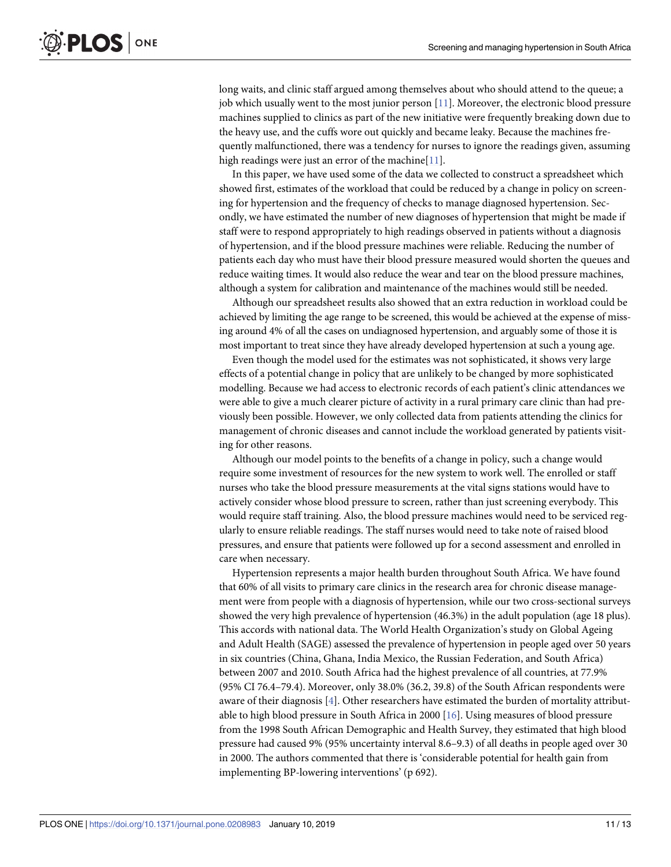<span id="page-10-0"></span>long waits, and clinic staff argued among themselves about who should attend to the queue; a job which usually went to the most junior person [[11](#page-12-0)]. Moreover, the electronic blood pressure machines supplied to clinics as part of the new initiative were frequently breaking down due to the heavy use, and the cuffs wore out quickly and became leaky. Because the machines frequently malfunctioned, there was a tendency for nurses to ignore the readings given, assuming high readings were just an error of the machine $[11]$ .

In this paper, we have used some of the data we collected to construct a spreadsheet which showed first, estimates of the workload that could be reduced by a change in policy on screening for hypertension and the frequency of checks to manage diagnosed hypertension. Secondly, we have estimated the number of new diagnoses of hypertension that might be made if staff were to respond appropriately to high readings observed in patients without a diagnosis of hypertension, and if the blood pressure machines were reliable. Reducing the number of patients each day who must have their blood pressure measured would shorten the queues and reduce waiting times. It would also reduce the wear and tear on the blood pressure machines, although a system for calibration and maintenance of the machines would still be needed.

Although our spreadsheet results also showed that an extra reduction in workload could be achieved by limiting the age range to be screened, this would be achieved at the expense of missing around 4% of all the cases on undiagnosed hypertension, and arguably some of those it is most important to treat since they have already developed hypertension at such a young age.

Even though the model used for the estimates was not sophisticated, it shows very large effects of a potential change in policy that are unlikely to be changed by more sophisticated modelling. Because we had access to electronic records of each patient's clinic attendances we were able to give a much clearer picture of activity in a rural primary care clinic than had previously been possible. However, we only collected data from patients attending the clinics for management of chronic diseases and cannot include the workload generated by patients visiting for other reasons.

Although our model points to the benefits of a change in policy, such a change would require some investment of resources for the new system to work well. The enrolled or staff nurses who take the blood pressure measurements at the vital signs stations would have to actively consider whose blood pressure to screen, rather than just screening everybody. This would require staff training. Also, the blood pressure machines would need to be serviced regularly to ensure reliable readings. The staff nurses would need to take note of raised blood pressures, and ensure that patients were followed up for a second assessment and enrolled in care when necessary.

Hypertension represents a major health burden throughout South Africa. We have found that 60% of all visits to primary care clinics in the research area for chronic disease management were from people with a diagnosis of hypertension, while our two cross-sectional surveys showed the very high prevalence of hypertension (46.3%) in the adult population (age 18 plus). This accords with national data. The World Health Organization's study on Global Ageing and Adult Health (SAGE) assessed the prevalence of hypertension in people aged over 50 years in six countries (China, Ghana, India Mexico, the Russian Federation, and South Africa) between 2007 and 2010. South Africa had the highest prevalence of all countries, at 77.9% (95% CI 76.4–79.4). Moreover, only 38.0% (36.2, 39.8) of the South African respondents were aware of their diagnosis [[4\]](#page-12-0). Other researchers have estimated the burden of mortality attributable to high blood pressure in South Africa in 2000 [\[16\]](#page-12-0). Using measures of blood pressure from the 1998 South African Demographic and Health Survey, they estimated that high blood pressure had caused 9% (95% uncertainty interval 8.6–9.3) of all deaths in people aged over 30 in 2000. The authors commented that there is 'considerable potential for health gain from implementing BP-lowering interventions' (p 692).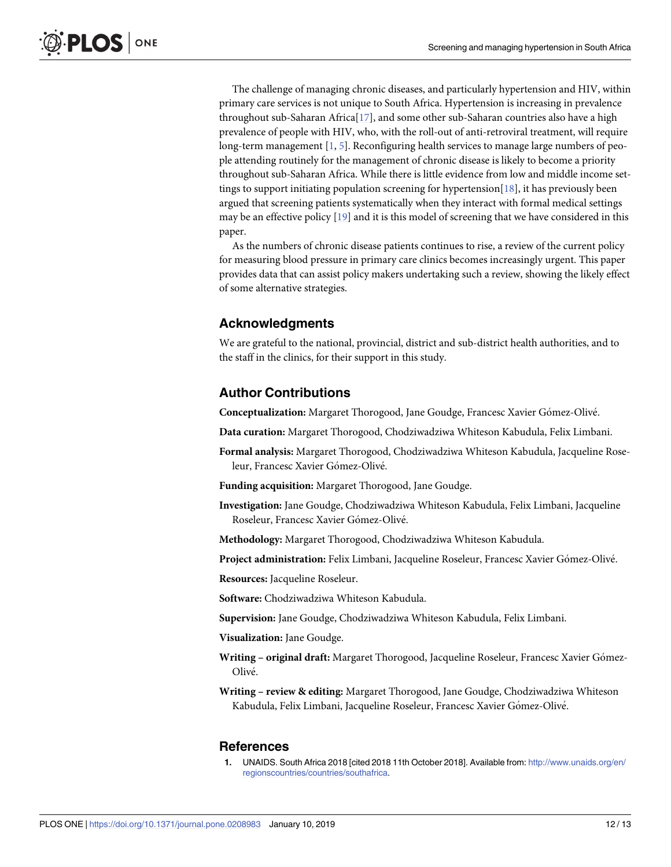<span id="page-11-0"></span>The challenge of managing chronic diseases, and particularly hypertension and HIV, within primary care services is not unique to South Africa. Hypertension is increasing in prevalence throughout sub-Saharan Africa[[17](#page-12-0)], and some other sub-Saharan countries also have a high prevalence of people with HIV, who, with the roll-out of anti-retroviral treatment, will require long-term management [1, [5](#page-12-0)]. Reconfiguring health services to manage large numbers of people attending routinely for the management of chronic disease is likely to become a priority throughout sub-Saharan Africa. While there is little evidence from low and middle income settings to support initiating population screening for hypertension[[18\]](#page-12-0), it has previously been argued that screening patients systematically when they interact with formal medical settings may be an effective policy [[19](#page-12-0)] and it is this model of screening that we have considered in this paper.

As the numbers of chronic disease patients continues to rise, a review of the current policy for measuring blood pressure in primary care clinics becomes increasingly urgent. This paper provides data that can assist policy makers undertaking such a review, showing the likely effect of some alternative strategies.

#### **Acknowledgments**

We are grateful to the national, provincial, district and sub-district health authorities, and to the staff in the clinics, for their support in this study.

#### **Author Contributions**

**Conceptualization:** Margaret Thorogood, Jane Goudge, Francesc Xavier Gómez-Olivé.

**Data curation:** Margaret Thorogood, Chodziwadziwa Whiteson Kabudula, Felix Limbani.

**Formal analysis:** Margaret Thorogood, Chodziwadziwa Whiteson Kabudula, Jacqueline Roseleur, Francesc Xavier Gómez-Olivé.

**Funding acquisition:** Margaret Thorogood, Jane Goudge.

**Investigation:** Jane Goudge, Chodziwadziwa Whiteson Kabudula, Felix Limbani, Jacqueline Roseleur, Francesc Xavier Gómez-Olivé.

**Methodology:** Margaret Thorogood, Chodziwadziwa Whiteson Kabudula.

Project administration: Felix Limbani, Jacqueline Roseleur, Francesc Xavier Gómez-Olivé.

**Resources:** Jacqueline Roseleur.

**Software:** Chodziwadziwa Whiteson Kabudula.

**Supervision:** Jane Goudge, Chodziwadziwa Whiteson Kabudula, Felix Limbani.

**Visualization:** Jane Goudge.

**Writing** – **original draft:** Margaret Thorogood, Jacqueline Roseleur, Francesc Xavier Gómez- $O$ livé

**Writing – review & editing:** Margaret Thorogood, Jane Goudge, Chodziwadziwa Whiteson Kabudula, Felix Limbani, Jacqueline Roseleur, Francesc Xavier Gómez-Olivé.

#### **References**

**[1](#page-1-0).** UNAIDS. South Africa 2018 [cited 2018 11th October 2018]. Available from: [http://www.unaids.org/en/](http://www.unaids.org/en/regionscountries/countries/southafrica) [regionscountries/countries/southafrica.](http://www.unaids.org/en/regionscountries/countries/southafrica)